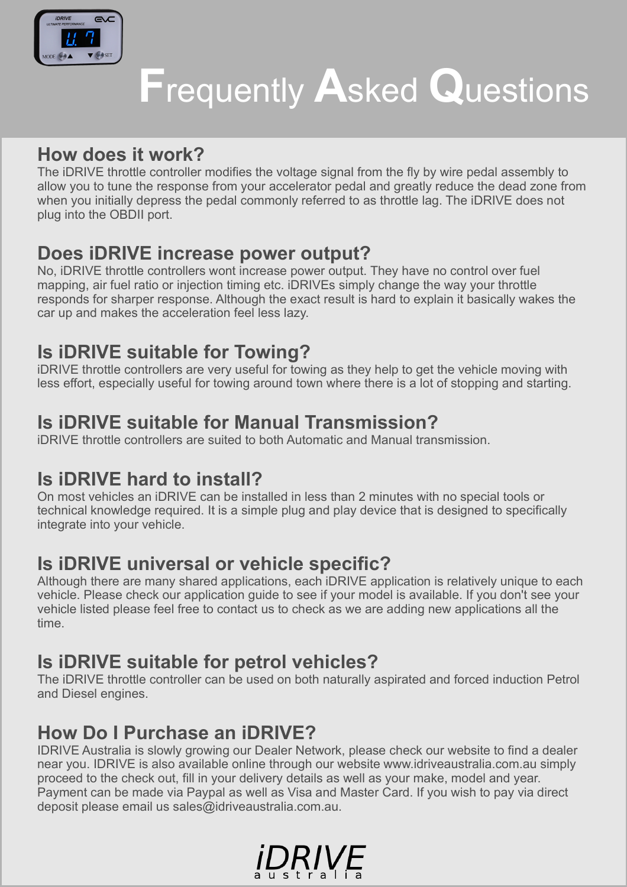

# **F**requently **A**sked **Q**uestions

## **How does it work?**

The iDRIVE throttle controller modifies the voltage signal from the fly by wire pedal assembly to allow you to tune the response from your accelerator pedal and greatly reduce the dead zone from when you initially depress the pedal commonly referred to as throttle lag. The iDRIVE does not plug into the OBDII port.

#### **Does iDRIVE increase power output?**

No, iDRIVE throttle controllers wont increase power output. They have no control over fuel mapping, air fuel ratio or injection timing etc. iDRIVEs simply change the way your throttle responds for sharper response. Although the exact result is hard to explain it basically wakes the car up and makes the acceleration feel less lazy.

# **Is iDRIVE suitable for Towing?**

iDRIVE throttle controllers are very useful for towing as they help to get the vehicle moving with less effort, especially useful for towing around town where there is a lot of stopping and starting.

## **Is iDRIVE suitable for Manual Transmission?**

iDRIVE throttle controllers are suited to both Automatic and Manual transmission.

#### **Is iDRIVE hard to install?**

On most vehicles an iDRIVE can be installed in less than 2 minutes with no special tools or technical knowledge required. It is a simple plug and play device that is designed to specifically integrate into your vehicle.

## **Is iDRIVE universal or vehicle specific?**

Although there are many shared applications, each iDRIVE application is relatively unique to each vehicle. Please check our application guide to see if your model is available. If you don't see your vehicle listed please feel free to contact us to check as we are adding new applications all the time.

# **Is iDRIVE suitable for petrol vehicles?**

The iDRIVE throttle controller can be used on both naturally aspirated and forced induction Petrol and Diesel engines.

# **How Do I Purchase an iDRIVE?**

IDRIVE Australia is slowly growing our Dealer Network, please check our website to find a dealer near you. IDRIVE is also available online through our website [www.idriveaustralia.com.au](http://www.idriveaustralia.com.au/) simply proceed to the check out, fill in your delivery details as well as your make, model and year. Payment can be made via Paypal as well as Visa and Master Card. If you wish to pay via direct deposit please email us sales@idriveaustralia.com.au.